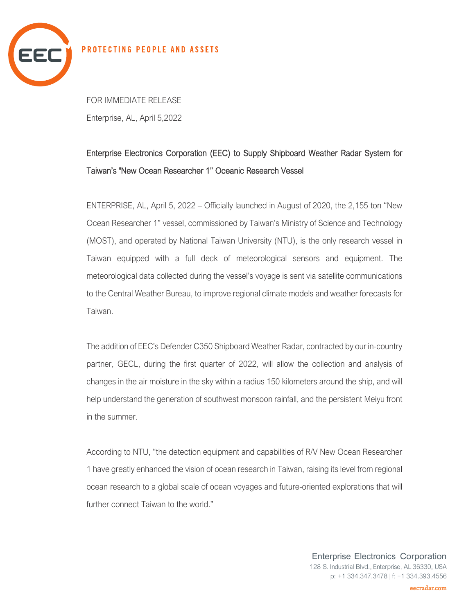

## PROTECTING PEOPLE AND ASSETS

FOR IMMEDIATE RELEASE Enterprise, AL, April 5,2022

## Enterprise Electronics Corporation (EEC) to Supply Shipboard Weather Radar System for Taiwan's "New Ocean Researcher 1" Oceanic Research Vessel

ENTERPRISE, AL, April 5, 2022 – Officially launched in August of 2020, the 2,155 ton "New Ocean Researcher 1" vessel, commissioned by Taiwan's Ministry of Science and Technology (MOST), and operated by National Taiwan University (NTU), is the only research vessel in Taiwan equipped with a full deck of meteorological sensors and equipment. The meteorological data collected during the vessel's voyage is sent via satellite communications to the Central Weather Bureau, to improve regional climate models and weather forecasts for Taiwan.

The addition of EEC's Defender C350 Shipboard Weather Radar, contracted by our in-country partner, GECL, during the first quarter of 2022, will allow the collection and analysis of changes in the air moisture in the sky within a radius 150 kilometers around the ship, and will help understand the generation of southwest monsoon rainfall, and the persistent Meiyu front in the summer.

According to NTU, "the detection equipment and capabilities of R/V New Ocean Researcher 1 have greatly enhanced the vision of ocean research in Taiwan, raising its level from regional ocean research to a global scale of ocean voyages and future-oriented explorations that will further connect Taiwan to the world."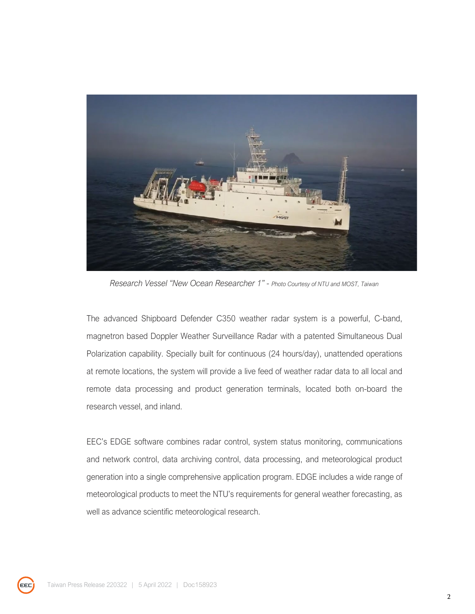

*Research Vessel "New Ocean Researcher 1" - Photo Courtesy of NTU and MOST, Taiwan*

The advanced Shipboard Defender C350 weather radar system is a powerful, C-band, magnetron based Doppler Weather Surveillance Radar with a patented Simultaneous Dual Polarization capability. Specially built for continuous (24 hours/day), unattended operations at remote locations, the system will provide a live feed of weather radar data to all local and remote data processing and product generation terminals, located both on-board the research vessel, and inland.

EEC's EDGE software combines radar control, system status monitoring, communications and network control, data archiving control, data processing, and meteorological product generation into a single comprehensive application program. EDGE includes a wide range of meteorological products to meet the NTU's requirements for general weather forecasting, as well as advance scientific meteorological research.

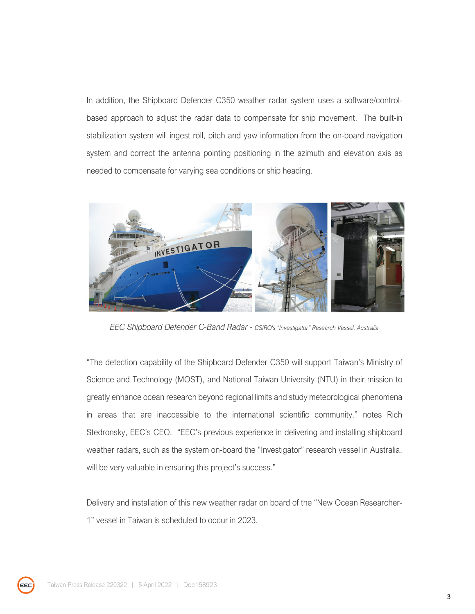In addition, the Shipboard Defender C350 weather radar system uses a software/controlbased approach to adjust the radar data to compensate for ship movement. The built-in stabilization system will ingest roll, pitch and yaw information from the on-board navigation system and correct the antenna pointing positioning in the azimuth and elevation axis as needed to compensate for varying sea conditions or ship heading.



*EEC Shipboard Defender C-Band Radar - CSIRO's "Investigator" Research Vessel, Australia*

"The detection capability of the Shipboard Defender C350 will support Taiwan's Ministry of Science and Technology (MOST), and National Taiwan University (NTU) in their mission to greatly enhance ocean research beyond regional limits and study meteorological phenomena in areas that are inaccessible to the international scientific community." notes Rich Stedronsky, EEC's CEO. "EEC's previous experience in delivering and installing shipboard weather radars, such as the system on-board the "Investigator" research vessel in Australia, will be very valuable in ensuring this project's success."

Delivery and installation of this new weather radar on board of the "New Ocean Researcher-1" vessel in Taiwan is scheduled to occur in 2023.